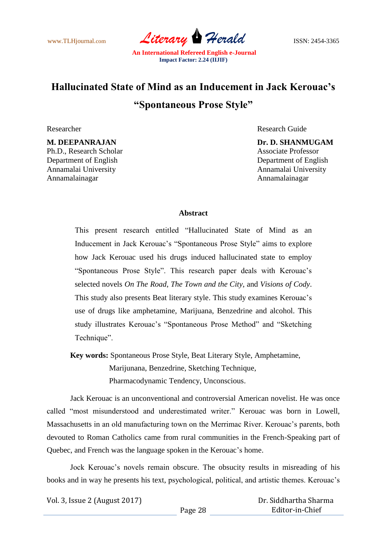

## **Hallucinated State of Mind as an Inducement in Jack Kerouac's "Spontaneous Prose Style"**

Ph.D., Research Scholar Associate Professor Department of English Department of English Annamalai University Annamalai University Annamalainagar Annamalainagar

Researcher Researcher Research Guide

**M. DEEPANRAJAN Dr. D. SHANMUGAM**

## **Abstract**

This present research entitled "Hallucinated State of Mind as an Inducement in Jack Kerouac"s "Spontaneous Prose Style" aims to explore how Jack Kerouac used his drugs induced hallucinated state to employ "Spontaneous Prose Style". This research paper deals with Kerouac"s selected novels *On The Road*, *The Town and the City*, and *Visions of Cody*. This study also presents Beat literary style. This study examines Kerouac"s use of drugs like amphetamine, Marijuana, Benzedrine and alcohol. This study illustrates Kerouac's "Spontaneous Prose Method" and "Sketching Technique".

**Key words:** Spontaneous Prose Style, Beat Literary Style, Amphetamine, Marijunana, Benzedrine, Sketching Technique,

Pharmacodynamic Tendency, Unconscious.

Jack Kerouac is an unconventional and controversial American novelist. He was once called "most misunderstood and underestimated writer." Kerouac was born in Lowell, Massachusetts in an old manufacturing town on the Merrimac River. Kerouac"s parents, both devouted to Roman Catholics came from rural communities in the French-Speaking part of Quebec, and French was the language spoken in the Kerouac's home.

Jock Kerouac"s novels remain obscure. The obsucity results in misreading of his books and in way he presents his text, psychological, political, and artistic themes. Kerouac"s

Vol. 3, Issue 2 (August 2017)

 Dr. Siddhartha Sharma Editor-in-Chief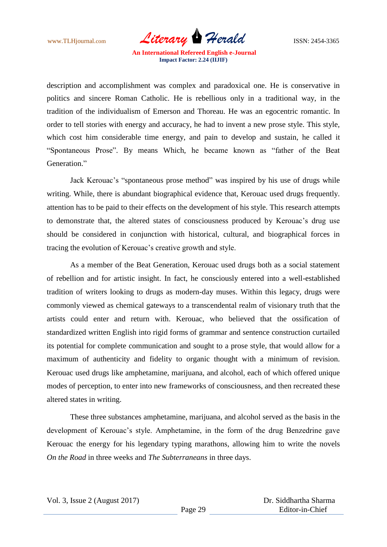www.TLHjournal.com *Literary Herald* ISSN: 2454-3365

description and accomplishment was complex and paradoxical one. He is conservative in politics and sincere Roman Catholic. He is rebellious only in a traditional way, in the tradition of the individualism of Emerson and Thoreau. He was an egocentric romantic. In order to tell stories with energy and accuracy, he had to invent a new prose style. This style, which cost him considerable time energy, and pain to develop and sustain, he called it "Spontaneous Prose". By means Which, he became known as "father of the Beat Generation."

Jack Kerouac's "spontaneous prose method" was inspired by his use of drugs while writing. While, there is abundant biographical evidence that, Kerouac used drugs frequently. attention has to be paid to their effects on the development of his style. This research attempts to demonstrate that, the altered states of consciousness produced by Kerouac"s drug use should be considered in conjunction with historical, cultural, and biographical forces in tracing the evolution of Kerouac"s creative growth and style.

As a member of the Beat Generation, Kerouac used drugs both as a social statement of rebellion and for artistic insight. In fact, he consciously entered into a well-established tradition of writers looking to drugs as modern-day muses. Within this legacy, drugs were commonly viewed as chemical gateways to a transcendental realm of visionary truth that the artists could enter and return with. Kerouac, who believed that the ossification of standardized written English into rigid forms of grammar and sentence construction curtailed its potential for complete communication and sought to a prose style, that would allow for a maximum of authenticity and fidelity to organic thought with a minimum of revision. Kerouac used drugs like amphetamine, marijuana, and alcohol, each of which offered unique modes of perception, to enter into new frameworks of consciousness, and then recreated these altered states in writing.

These three substances amphetamine, marijuana, and alcohol served as the basis in the development of Kerouac"s style. Amphetamine, in the form of the drug Benzedrine gave Kerouac the energy for his legendary typing marathons, allowing him to write the novels *On the Road* in three weeks and *The Subterraneans* in three days.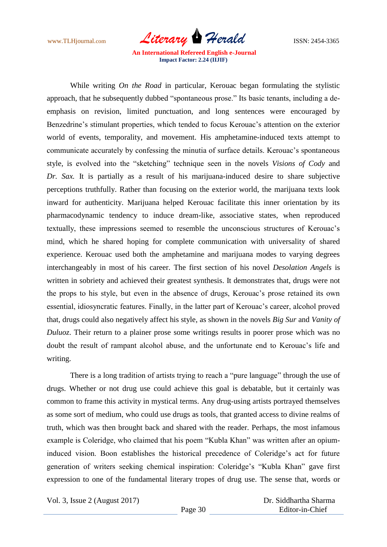

While writing *On the Road* in particular, Kerouac began formulating the stylistic approach, that he subsequently dubbed "spontaneous prose." Its basic tenants, including a deemphasis on revision, limited punctuation, and long sentences were encouraged by Benzedrine's stimulant properties, which tended to focus Kerouac's attention on the exterior world of events, temporality, and movement. His amphetamine-induced texts attempt to communicate accurately by confessing the minutia of surface details. Kerouac"s spontaneous style, is evolved into the "sketching" technique seen in the novels *Visions of Cody* and *Dr. Sax.* It is partially as a result of his marijuana-induced desire to share subjective perceptions truthfully. Rather than focusing on the exterior world, the marijuana texts look inward for authenticity. Marijuana helped Kerouac facilitate this inner orientation by its pharmacodynamic tendency to induce dream-like, associative states, when reproduced textually, these impressions seemed to resemble the unconscious structures of Kerouac"s mind, which he shared hoping for complete communication with universality of shared experience. Kerouac used both the amphetamine and marijuana modes to varying degrees interchangeably in most of his career. The first section of his novel *Desolation Angels* is written in sobriety and achieved their greatest synthesis. It demonstrates that, drugs were not the props to his style, but even in the absence of drugs, Kerouac"s prose retained its own essential, idiosyncratic features. Finally, in the latter part of Kerouac's career, alcohol proved that, drugs could also negatively affect his style, as shown in the novels *Big Sur* and *Vanity of Duluoz*. Their return to a plainer prose some writings results in poorer prose which was no doubt the result of rampant alcohol abuse, and the unfortunate end to Kerouac"s life and writing.

There is a long tradition of artists trying to reach a "pure language" through the use of drugs. Whether or not drug use could achieve this goal is debatable, but it certainly was common to frame this activity in mystical terms. Any drug-using artists portrayed themselves as some sort of medium, who could use drugs as tools, that granted access to divine realms of truth, which was then brought back and shared with the reader. Perhaps, the most infamous example is Coleridge, who claimed that his poem "Kubla Khan" was written after an opiuminduced vision. Boon establishes the historical precedence of Coleridge"s act for future generation of writers seeking chemical inspiration: Coleridge's "Kubla Khan" gave first expression to one of the fundamental literary tropes of drug use. The sense that, words or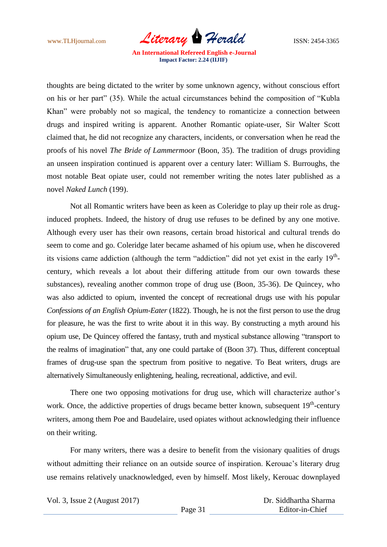

thoughts are being dictated to the writer by some unknown agency, without conscious effort on his or her part" (35). While the actual circumstances behind the composition of "Kubla Khan" were probably not so magical, the tendency to romanticize a connection between drugs and inspired writing is apparent. Another Romantic opiate-user, Sir Walter Scott claimed that, he did not recognize any characters, incidents, or conversation when he read the proofs of his novel *The Bride of Lammermoor* (Boon, 35). The tradition of drugs providing an unseen inspiration continued is apparent over a century later: William S. Burroughs, the most notable Beat opiate user, could not remember writing the notes later published as a novel *Naked Lunch* (199).

Not all Romantic writers have been as keen as Coleridge to play up their role as druginduced prophets. Indeed, the history of drug use refuses to be defined by any one motive. Although every user has their own reasons, certain broad historical and cultural trends do seem to come and go. Coleridge later became ashamed of his opium use, when he discovered its visions came addiction (although the term "addiction" did not yet exist in the early  $19<sup>th</sup>$ century, which reveals a lot about their differing attitude from our own towards these substances), revealing another common trope of drug use (Boon, 35-36). De Quincey, who was also addicted to opium, invented the concept of recreational drugs use with his popular *Confessions of an English Opium-Eater* (1822). Though, he is not the first person to use the drug for pleasure, he was the first to write about it in this way. By constructing a myth around his opium use, De Quincey offered the fantasy, truth and mystical substance allowing "transport to the realms of imagination" that, any one could partake of (Boon 37). Thus, different conceptual frames of drug-use span the spectrum from positive to negative. To Beat writers, drugs are alternatively Simultaneously enlightening, healing, recreational, addictive, and evil.

There one two opposing motivations for drug use, which will characterize author's work. Once, the addictive properties of drugs became better known, subsequent  $19<sup>th</sup>$ -century writers, among them Poe and Baudelaire, used opiates without acknowledging their influence on their writing.

For many writers, there was a desire to benefit from the visionary qualities of drugs without admitting their reliance on an outside source of inspiration. Kerouac's literary drug use remains relatively unacknowledged, even by himself. Most likely, Kerouac downplayed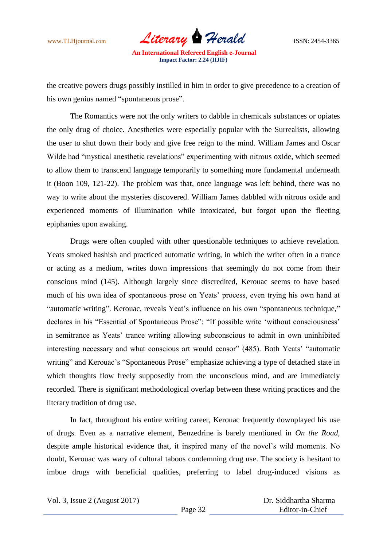www.TLHjournal.com *Literary Herald* ISSN: 2454-3365

the creative powers drugs possibly instilled in him in order to give precedence to a creation of his own genius named "spontaneous prose".

The Romantics were not the only writers to dabble in chemicals substances or opiates the only drug of choice. Anesthetics were especially popular with the Surrealists, allowing the user to shut down their body and give free reign to the mind. William James and Oscar Wilde had "mystical anesthetic revelations" experimenting with nitrous oxide, which seemed to allow them to transcend language temporarily to something more fundamental underneath it (Boon 109, 121-22). The problem was that, once language was left behind, there was no way to write about the mysteries discovered. William James dabbled with nitrous oxide and experienced moments of illumination while intoxicated, but forgot upon the fleeting epiphanies upon awaking.

Drugs were often coupled with other questionable techniques to achieve revelation. Yeats smoked hashish and practiced automatic writing, in which the writer often in a trance or acting as a medium, writes down impressions that seemingly do not come from their conscious mind (145). Although largely since discredited, Kerouac seems to have based much of his own idea of spontaneous prose on Yeats' process, even trying his own hand at "automatic writing". Kerouac, reveals Yeat"s influence on his own "spontaneous technique," declares in his "Essential of Spontaneous Prose": "If possible write 'without consciousness' in semitrance as Yeats' trance writing allowing subconscious to admit in own uninhibited interesting necessary and what conscious art would censor" (485). Both Yeats' "automatic writing" and Kerouac's "Spontaneous Prose" emphasize achieving a type of detached state in which thoughts flow freely supposedly from the unconscious mind, and are immediately recorded. There is significant methodological overlap between these writing practices and the literary tradition of drug use.

In fact, throughout his entire writing career, Kerouac frequently downplayed his use of drugs. Even as a narrative element, Benzedrine is barely mentioned in *On the Road*, despite ample historical evidence that, it inspired many of the novel"s wild moments. No doubt, Kerouac was wary of cultural taboos condemning drug use. The society is hesitant to imbue drugs with beneficial qualities, preferring to label drug-induced visions as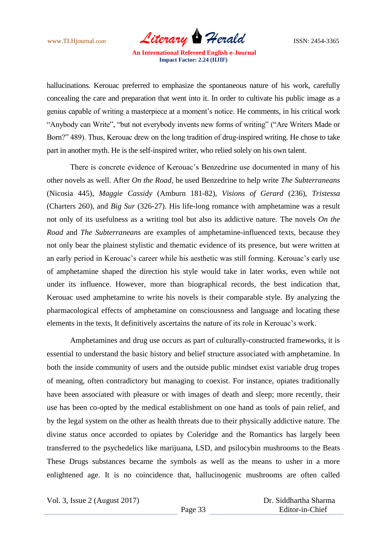www.TLHjournal.com *Literary Herald* **ISSN: 2454-3365** 

hallucinations. Kerouac preferred to emphasize the spontaneous nature of his work, carefully concealing the care and preparation that went into it. In order to cultivate his public image as a genius capable of writing a masterpiece at a moment"s notice. He comments, in his critical work "Anybody can Write", "but not everybody invents new forms of writing" ("Are Writers Made or Born?" 489). Thus, Kerouac drew on the long tradition of drug-inspired writing. He chose to take part in another myth. He is the self-inspired writer, who relied solely on his own talent.

There is concrete evidence of Kerouac's Benzedrine use documented in many of his other novels as well. After *On the Road*, he used Benzedrine to help write *The Subterraneans*  (Nicosia 445), *Maggie Cassidy* (Amburn 181-82), *Visions of Gerard* (236), *Tristessa*  (Charters 260), and *Big Sur* (326-27). His life-long romance with amphetamine was a result not only of its usefulness as a writing tool but also its addictive nature. The novels *On the Road* and *The Subterraneans* are examples of amphetamine-influenced texts, because they not only bear the plainest stylistic and thematic evidence of its presence, but were written at an early period in Kerouac's career while his aesthetic was still forming. Kerouac's early use of amphetamine shaped the direction his style would take in later works, even while not under its influence. However, more than biographical records, the best indication that, Kerouac used amphetamine to write his novels is their comparable style. By analyzing the pharmacological effects of amphetamine on consciousness and language and locating these elements in the texts, It definitively ascertains the nature of its role in Kerouac"s work.

Amphetamines and drug use occurs as part of culturally-constructed frameworks, it is essential to understand the basic history and belief structure associated with amphetamine. In both the inside community of users and the outside public mindset exist variable drug tropes of meaning, often contradictory but managing to coexist. For instance, opiates traditionally have been associated with pleasure or with images of death and sleep; more recently, their use has been co-opted by the medical establishment on one hand as tools of pain relief, and by the legal system on the other as health threats due to their physically addictive nature. The divine status once accorded to opiates by Coleridge and the Romantics has largely been transferred to the psychedelics like marijuana, LSD, and psilocybin mushrooms to the Beats These Drugs substances became the symbols as well as the means to usher in a more enlightened age. It is no coincidence that, hallucinogenic mushrooms are often called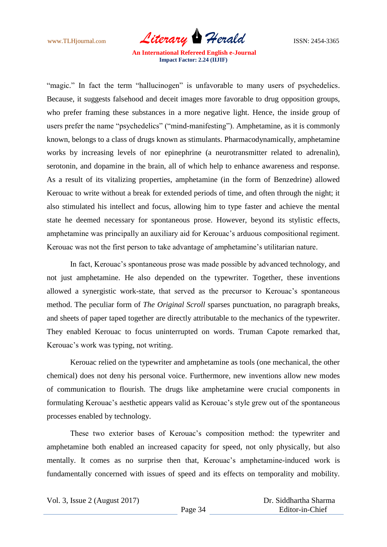

"magic." In fact the term "hallucinogen" is unfavorable to many users of psychedelics. Because, it suggests falsehood and deceit images more favorable to drug opposition groups, who prefer framing these substances in a more negative light. Hence, the inside group of users prefer the name "psychedelics" ("mind-manifesting"). Amphetamine, as it is commonly known, belongs to a class of drugs known as stimulants. Pharmacodynamically, amphetamine works by increasing levels of nor epinephrine (a neurotransmitter related to adrenalin), serotonin, and dopamine in the brain, all of which help to enhance awareness and response. As a result of its vitalizing properties, amphetamine (in the form of Benzedrine) allowed Kerouac to write without a break for extended periods of time, and often through the night; it also stimulated his intellect and focus, allowing him to type faster and achieve the mental state he deemed necessary for spontaneous prose. However, beyond its stylistic effects, amphetamine was principally an auxiliary aid for Kerouac"s arduous compositional regiment. Kerouac was not the first person to take advantage of amphetamine"s utilitarian nature.

In fact, Kerouac's spontaneous prose was made possible by advanced technology, and not just amphetamine. He also depended on the typewriter. Together, these inventions allowed a synergistic work-state, that served as the precursor to Kerouac"s spontaneous method. The peculiar form of *The Original Scroll* sparses punctuation, no paragraph breaks, and sheets of paper taped together are directly attributable to the mechanics of the typewriter. They enabled Kerouac to focus uninterrupted on words. Truman Capote remarked that, Kerouac's work was typing, not writing.

Kerouac relied on the typewriter and amphetamine as tools (one mechanical, the other chemical) does not deny his personal voice. Furthermore, new inventions allow new modes of communication to flourish. The drugs like amphetamine were crucial components in formulating Kerouac's aesthetic appears valid as Kerouac's style grew out of the spontaneous processes enabled by technology.

These two exterior bases of Kerouac"s composition method: the typewriter and amphetamine both enabled an increased capacity for speed, not only physically, but also mentally. It comes as no surprise then that, Kerouac's amphetamine-induced work is fundamentally concerned with issues of speed and its effects on temporality and mobility.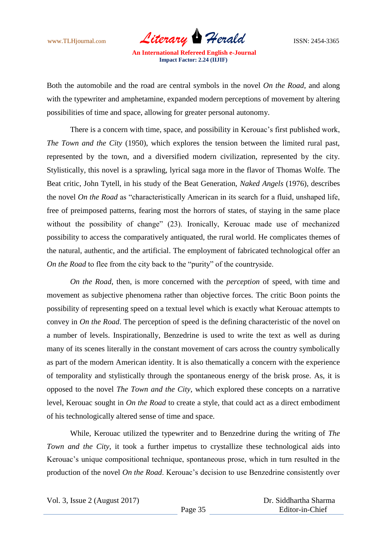www.TLHjournal.com *Literary Herald* ISSN: 2454-3365

Both the automobile and the road are central symbols in the novel *On the Road*, and along with the typewriter and amphetamine, expanded modern perceptions of movement by altering possibilities of time and space, allowing for greater personal autonomy.

There is a concern with time, space, and possibility in Kerouac's first published work, *The Town and the City* (1950), which explores the tension between the limited rural past, represented by the town, and a diversified modern civilization, represented by the city. Stylistically, this novel is a sprawling, lyrical saga more in the flavor of Thomas Wolfe. The Beat critic, John Tytell, in his study of the Beat Generation, *Naked Angels* (1976), describes the novel *On the Road* as "characteristically American in its search for a fluid, unshaped life, free of preimposed patterns, fearing most the horrors of states, of staying in the same place without the possibility of change" (23). Ironically, Kerouac made use of mechanized possibility to access the comparatively antiquated, the rural world. He complicates themes of the natural, authentic, and the artificial. The employment of fabricated technological offer an *On the Road* to flee from the city back to the "purity" of the countryside.

*On the Road*, then, is more concerned with the *perception* of speed, with time and movement as subjective phenomena rather than objective forces. The critic Boon points the possibility of representing speed on a textual level which is exactly what Kerouac attempts to convey in *On the Road*. The perception of speed is the defining characteristic of the novel on a number of levels. Inspirationally, Benzedrine is used to write the text as well as during many of its scenes literally in the constant movement of cars across the country symbolically as part of the modern American identity. It is also thematically a concern with the experience of temporality and stylistically through the spontaneous energy of the brisk prose. As, it is opposed to the novel *The Town and the City*, which explored these concepts on a narrative level, Kerouac sought in *On the Road* to create a style, that could act as a direct embodiment of his technologically altered sense of time and space.

While, Kerouac utilized the typewriter and to Benzedrine during the writing of *The Town and the City*, it took a further impetus to crystallize these technological aids into Kerouac"s unique compositional technique, spontaneous prose, which in turn resulted in the production of the novel *On the Road*. Kerouac"s decision to use Benzedrine consistently over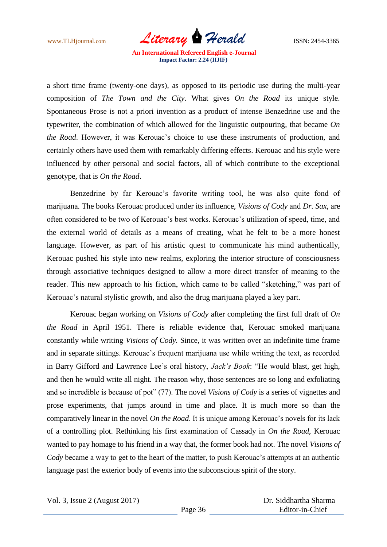www.TLHjournal.com *Literary Herald* ISSN: 2454-3365

a short time frame (twenty-one days), as opposed to its periodic use during the multi-year composition of *The Town and the City.* What gives *On the Road* its unique style. Spontaneous Prose is not a priori invention as a product of intense Benzedrine use and the typewriter, the combination of which allowed for the linguistic outpouring, that became *On the Road*. However, it was Kerouac's choice to use these instruments of production, and certainly others have used them with remarkably differing effects. Kerouac and his style were influenced by other personal and social factors, all of which contribute to the exceptional genotype, that is *On the Road*.

Benzedrine by far Kerouac's favorite writing tool, he was also quite fond of marijuana. The books Kerouac produced under its influence, *Visions of Cody* and *Dr. Sax*, are often considered to be two of Kerouac"s best works. Kerouac"s utilization of speed, time, and the external world of details as a means of creating, what he felt to be a more honest language. However, as part of his artistic quest to communicate his mind authentically, Kerouac pushed his style into new realms, exploring the interior structure of consciousness through associative techniques designed to allow a more direct transfer of meaning to the reader. This new approach to his fiction, which came to be called "sketching," was part of Kerouac's natural stylistic growth, and also the drug marijuana played a key part.

Kerouac began working on *Visions of Cody* after completing the first full draft of *On the Road* in April 1951. There is reliable evidence that, Kerouac smoked marijuana constantly while writing *Visions of Cody.* Since, it was written over an indefinite time frame and in separate sittings. Kerouac's frequent marijuana use while writing the text, as recorded in Barry Gifford and Lawrence Lee's oral history, *Jack's Book*: "He would blast, get high, and then he would write all night. The reason why, those sentences are so long and exfoliating and so incredible is because of pot" (77). The novel *Visions of Cody* is a series of vignettes and prose experiments, that jumps around in time and place. It is much more so than the comparatively linear in the novel *On the Road*. It is unique among Kerouac"s novels for its lack of a controlling plot. Rethinking his first examination of Cassady in *On the Road*, Kerouac wanted to pay homage to his friend in a way that, the former book had not. The novel *Visions of Cody* became a way to get to the heart of the matter, to push Kerouac's attempts at an authentic language past the exterior body of events into the subconscious spirit of the story.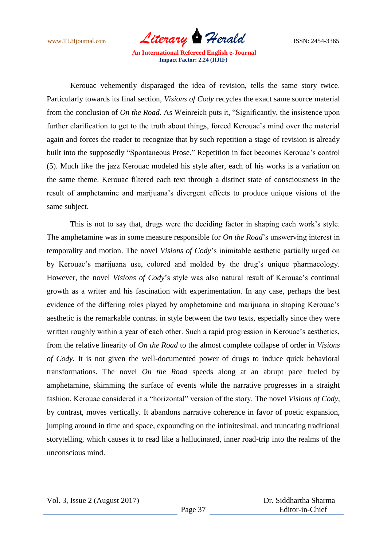

Kerouac vehemently disparaged the idea of revision, tells the same story twice. Particularly towards its final section, *Visions of Cody* recycles the exact same source material from the conclusion of *On the Road.* As Weinreich puts it, "Significantly, the insistence upon further clarification to get to the truth about things, forced Kerouac's mind over the material again and forces the reader to recognize that by such repetition a stage of revision is already built into the supposedly "Spontaneous Prose." Repetition in fact becomes Kerouac's control (5). Much like the jazz Kerouac modeled his style after, each of his works is a variation on the same theme. Kerouac filtered each text through a distinct state of consciousness in the result of amphetamine and marijuana"s divergent effects to produce unique visions of the same subject.

This is not to say that, drugs were the deciding factor in shaping each work"s style. The amphetamine was in some measure responsible for *On the Road*"s unswerving interest in temporality and motion. The novel *Visions of Cody*"s inimitable aesthetic partially urged on by Kerouac"s marijuana use, colored and molded by the drug"s unique pharmacology. However, the novel *Visions of Cody*'s style was also natural result of Kerouac's continual growth as a writer and his fascination with experimentation. In any case, perhaps the best evidence of the differing roles played by amphetamine and marijuana in shaping Kerouac's aesthetic is the remarkable contrast in style between the two texts, especially since they were written roughly within a year of each other. Such a rapid progression in Kerouac's aesthetics, from the relative linearity of *On the Road* to the almost complete collapse of order in *Visions of Cody*. It is not given the well-documented power of drugs to induce quick behavioral transformations. The novel *On the Road* speeds along at an abrupt pace fueled by amphetamine, skimming the surface of events while the narrative progresses in a straight fashion. Kerouac considered it a "horizontal" version of the story. The novel *Visions of Cody*, by contrast, moves vertically. It abandons narrative coherence in favor of poetic expansion, jumping around in time and space, expounding on the infinitesimal, and truncating traditional storytelling, which causes it to read like a hallucinated, inner road-trip into the realms of the unconscious mind.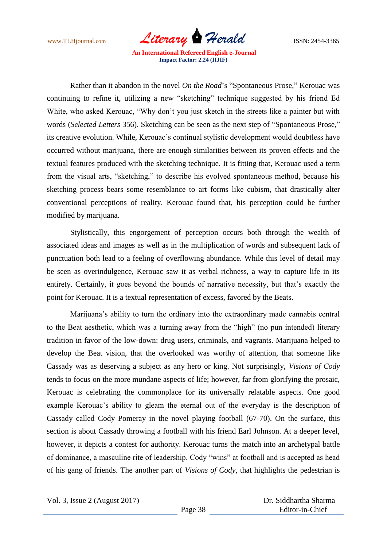

Rather than it abandon in the novel *On the Road*"s "Spontaneous Prose," Kerouac was continuing to refine it, utilizing a new "sketching" technique suggested by his friend Ed White, who asked Kerouac, "Why don"t you just sketch in the streets like a painter but with words (*Selected Letters* 356). Sketching can be seen as the next step of "Spontaneous Prose," its creative evolution. While, Kerouac's continual stylistic development would doubtless have occurred without marijuana, there are enough similarities between its proven effects and the textual features produced with the sketching technique. It is fitting that, Kerouac used a term from the visual arts, "sketching," to describe his evolved spontaneous method, because his sketching process bears some resemblance to art forms like cubism, that drastically alter conventional perceptions of reality. Kerouac found that, his perception could be further modified by marijuana.

Stylistically, this engorgement of perception occurs both through the wealth of associated ideas and images as well as in the multiplication of words and subsequent lack of punctuation both lead to a feeling of overflowing abundance. While this level of detail may be seen as overindulgence, Kerouac saw it as verbal richness, a way to capture life in its entirety. Certainly, it goes beyond the bounds of narrative necessity, but that's exactly the point for Kerouac. It is a textual representation of excess, favored by the Beats.

Marijuana"s ability to turn the ordinary into the extraordinary made cannabis central to the Beat aesthetic, which was a turning away from the "high" (no pun intended) literary tradition in favor of the low-down: drug users, criminals, and vagrants. Marijuana helped to develop the Beat vision, that the overlooked was worthy of attention, that someone like Cassady was as deserving a subject as any hero or king. Not surprisingly, *Visions of Cody*  tends to focus on the more mundane aspects of life; however, far from glorifying the prosaic, Kerouac is celebrating the commonplace for its universally relatable aspects. One good example Kerouac's ability to gleam the eternal out of the everyday is the description of Cassady called Cody Pomeray in the novel playing football (67-70). On the surface, this section is about Cassady throwing a football with his friend Earl Johnson. At a deeper level, however, it depicts a contest for authority. Kerouac turns the match into an archetypal battle of dominance, a masculine rite of leadership. Cody "wins" at football and is accepted as head of his gang of friends. The another part of *Visions of Cody,* that highlights the pedestrian is